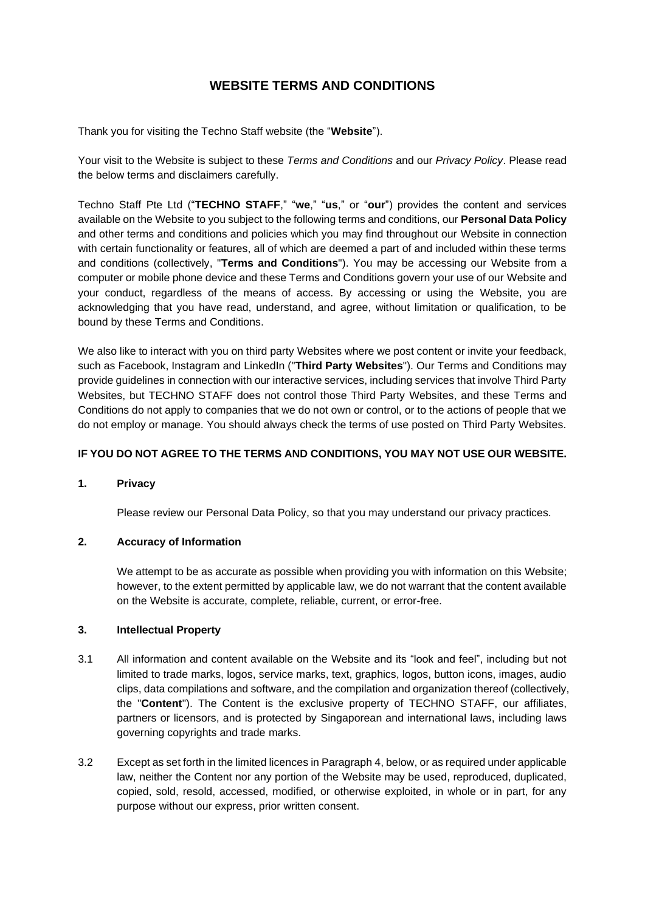# **WEBSITE TERMS AND CONDITIONS**

Thank you for visiting the Techno Staff website (the "**Website**").

Your visit to the Website is subject to these *Terms and Conditions* and our *Privacy Policy*. Please read the below terms and disclaimers carefully.

Techno Staff Pte Ltd ("**TECHNO STAFF**," "**we**," "**us**," or "**our**") provides the content and services available on the Website to you subject to the following terms and conditions, our **Personal Data Policy** and other terms and conditions and policies which you may find throughout our Website in connection with certain functionality or features, all of which are deemed a part of and included within these terms and conditions (collectively, "**Terms and Conditions**"). You may be accessing our Website from a computer or mobile phone device and these Terms and Conditions govern your use of our Website and your conduct, regardless of the means of access. By accessing or using the Website, you are acknowledging that you have read, understand, and agree, without limitation or qualification, to be bound by these Terms and Conditions.

We also like to interact with you on third party Websites where we post content or invite your feedback, such as Facebook, Instagram and LinkedIn ("**Third Party Websites**"). Our Terms and Conditions may provide guidelines in connection with our interactive services, including services that involve Third Party Websites, but TECHNO STAFF does not control those Third Party Websites, and these Terms and Conditions do not apply to companies that we do not own or control, or to the actions of people that we do not employ or manage. You should always check the terms of use posted on Third Party Websites.

# **IF YOU DO NOT AGREE TO THE TERMS AND CONDITIONS, YOU MAY NOT USE OUR WEBSITE.**

# **1. Privacy**

Please review our Personal Data Policy, so that you may understand our privacy practices.

# **2. Accuracy of Information**

We attempt to be as accurate as possible when providing you with information on this Website; however, to the extent permitted by applicable law, we do not warrant that the content available on the Website is accurate, complete, reliable, current, or error-free.

#### **3. Intellectual Property**

- 3.1 All information and content available on the Website and its "look and feel", including but not limited to trade marks, logos, service marks, text, graphics, logos, button icons, images, audio clips, data compilations and software, and the compilation and organization thereof (collectively, the "**Content**"). The Content is the exclusive property of TECHNO STAFF, our affiliates, partners or licensors, and is protected by Singaporean and international laws, including laws governing copyrights and trade marks.
- 3.2 Except as set forth in the limited licences in Paragraph 4, below, or as required under applicable law, neither the Content nor any portion of the Website may be used, reproduced, duplicated, copied, sold, resold, accessed, modified, or otherwise exploited, in whole or in part, for any purpose without our express, prior written consent.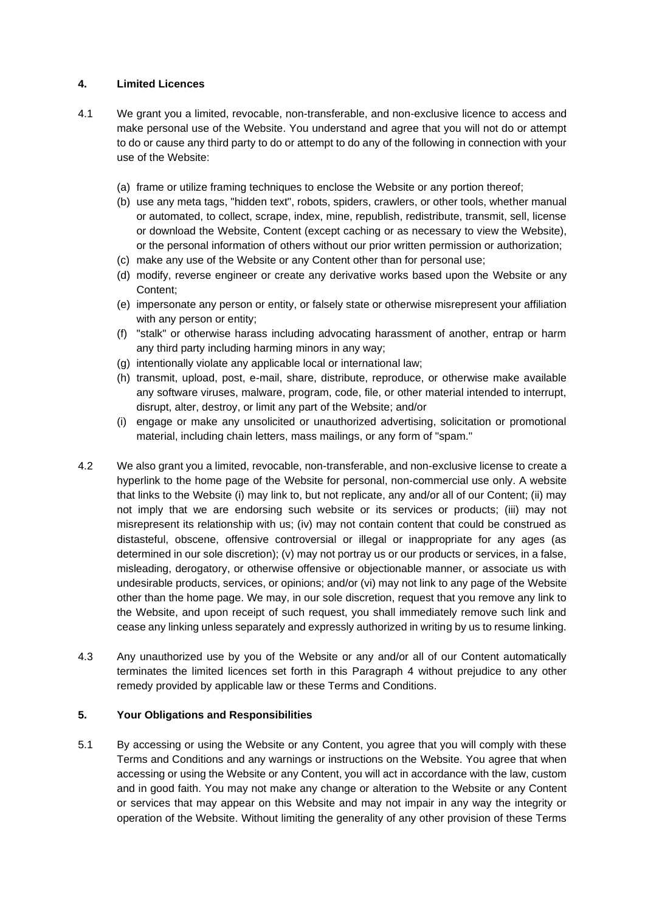# **4. Limited Licences**

- 4.1 We grant you a limited, revocable, non-transferable, and non-exclusive licence to access and make personal use of the Website. You understand and agree that you will not do or attempt to do or cause any third party to do or attempt to do any of the following in connection with your use of the Website:
	- (a) frame or utilize framing techniques to enclose the Website or any portion thereof;
	- (b) use any meta tags, "hidden text", robots, spiders, crawlers, or other tools, whether manual or automated, to collect, scrape, index, mine, republish, redistribute, transmit, sell, license or download the Website, Content (except caching or as necessary to view the Website), or the personal information of others without our prior written permission or authorization;
	- (c) make any use of the Website or any Content other than for personal use;
	- (d) modify, reverse engineer or create any derivative works based upon the Website or any Content;
	- (e) impersonate any person or entity, or falsely state or otherwise misrepresent your affiliation with any person or entity;
	- (f) "stalk" or otherwise harass including advocating harassment of another, entrap or harm any third party including harming minors in any way;
	- (g) intentionally violate any applicable local or international law;
	- (h) transmit, upload, post, e-mail, share, distribute, reproduce, or otherwise make available any software viruses, malware, program, code, file, or other material intended to interrupt, disrupt, alter, destroy, or limit any part of the Website; and/or
	- (i) engage or make any unsolicited or unauthorized advertising, solicitation or promotional material, including chain letters, mass mailings, or any form of "spam."
- 4.2 We also grant you a limited, revocable, non-transferable, and non-exclusive license to create a hyperlink to the home page of the Website for personal, non-commercial use only. A website that links to the Website (i) may link to, but not replicate, any and/or all of our Content; (ii) may not imply that we are endorsing such website or its services or products; (iii) may not misrepresent its relationship with us; (iv) may not contain content that could be construed as distasteful, obscene, offensive controversial or illegal or inappropriate for any ages (as determined in our sole discretion); (v) may not portray us or our products or services, in a false, misleading, derogatory, or otherwise offensive or objectionable manner, or associate us with undesirable products, services, or opinions; and/or (vi) may not link to any page of the Website other than the home page. We may, in our sole discretion, request that you remove any link to the Website, and upon receipt of such request, you shall immediately remove such link and cease any linking unless separately and expressly authorized in writing by us to resume linking.
- 4.3 Any unauthorized use by you of the Website or any and/or all of our Content automatically terminates the limited licences set forth in this Paragraph 4 without prejudice to any other remedy provided by applicable law or these Terms and Conditions.

# **5. Your Obligations and Responsibilities**

5.1 By accessing or using the Website or any Content, you agree that you will comply with these Terms and Conditions and any warnings or instructions on the Website. You agree that when accessing or using the Website or any Content, you will act in accordance with the law, custom and in good faith. You may not make any change or alteration to the Website or any Content or services that may appear on this Website and may not impair in any way the integrity or operation of the Website. Without limiting the generality of any other provision of these Terms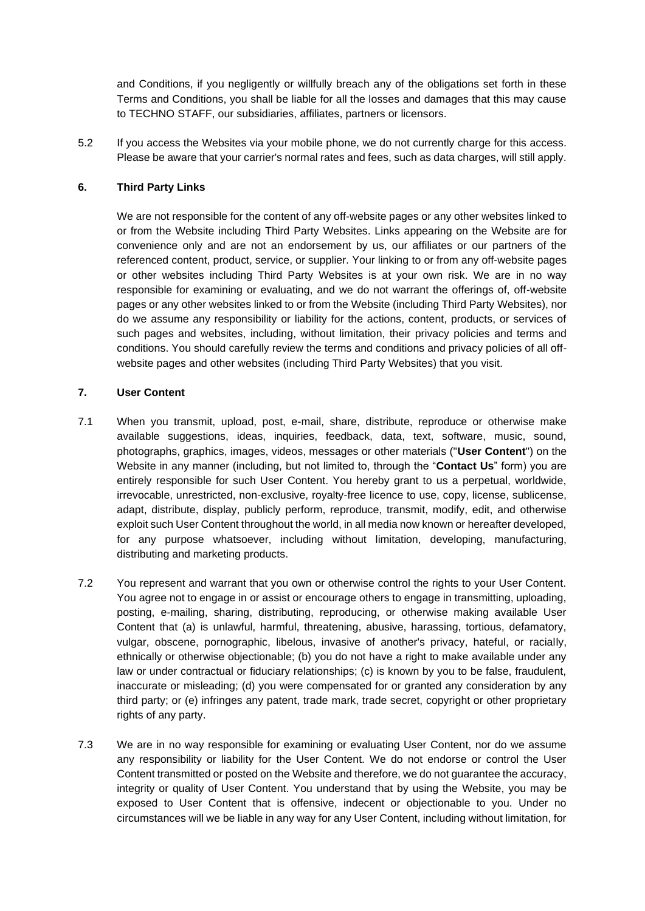and Conditions, if you negligently or willfully breach any of the obligations set forth in these Terms and Conditions, you shall be liable for all the losses and damages that this may cause to TECHNO STAFF, our subsidiaries, affiliates, partners or licensors.

5.2 If you access the Websites via your mobile phone, we do not currently charge for this access. Please be aware that your carrier's normal rates and fees, such as data charges, will still apply.

# **6. Third Party Links**

We are not responsible for the content of any off-website pages or any other websites linked to or from the Website including Third Party Websites. Links appearing on the Website are for convenience only and are not an endorsement by us, our affiliates or our partners of the referenced content, product, service, or supplier. Your linking to or from any off-website pages or other websites including Third Party Websites is at your own risk. We are in no way responsible for examining or evaluating, and we do not warrant the offerings of, off-website pages or any other websites linked to or from the Website (including Third Party Websites), nor do we assume any responsibility or liability for the actions, content, products, or services of such pages and websites, including, without limitation, their privacy policies and terms and conditions. You should carefully review the terms and conditions and privacy policies of all offwebsite pages and other websites (including Third Party Websites) that you visit.

# **7. User Content**

- 7.1 When you transmit, upload, post, e-mail, share, distribute, reproduce or otherwise make available suggestions, ideas, inquiries, feedback, data, text, software, music, sound, photographs, graphics, images, videos, messages or other materials ("**User Content**") on the Website in any manner (including, but not limited to, through the "**Contact Us**" form) you are entirely responsible for such User Content. You hereby grant to us a perpetual, worldwide, irrevocable, unrestricted, non-exclusive, royalty-free licence to use, copy, license, sublicense, adapt, distribute, display, publicly perform, reproduce, transmit, modify, edit, and otherwise exploit such User Content throughout the world, in all media now known or hereafter developed, for any purpose whatsoever, including without limitation, developing, manufacturing, distributing and marketing products.
- 7.2 You represent and warrant that you own or otherwise control the rights to your User Content. You agree not to engage in or assist or encourage others to engage in transmitting, uploading, posting, e-mailing, sharing, distributing, reproducing, or otherwise making available User Content that (a) is unlawful, harmful, threatening, abusive, harassing, tortious, defamatory, vulgar, obscene, pornographic, libelous, invasive of another's privacy, hateful, or racially, ethnically or otherwise objectionable; (b) you do not have a right to make available under any law or under contractual or fiduciary relationships; (c) is known by you to be false, fraudulent, inaccurate or misleading; (d) you were compensated for or granted any consideration by any third party; or (e) infringes any patent, trade mark, trade secret, copyright or other proprietary rights of any party.
- 7.3 We are in no way responsible for examining or evaluating User Content, nor do we assume any responsibility or liability for the User Content. We do not endorse or control the User Content transmitted or posted on the Website and therefore, we do not guarantee the accuracy, integrity or quality of User Content. You understand that by using the Website, you may be exposed to User Content that is offensive, indecent or objectionable to you. Under no circumstances will we be liable in any way for any User Content, including without limitation, for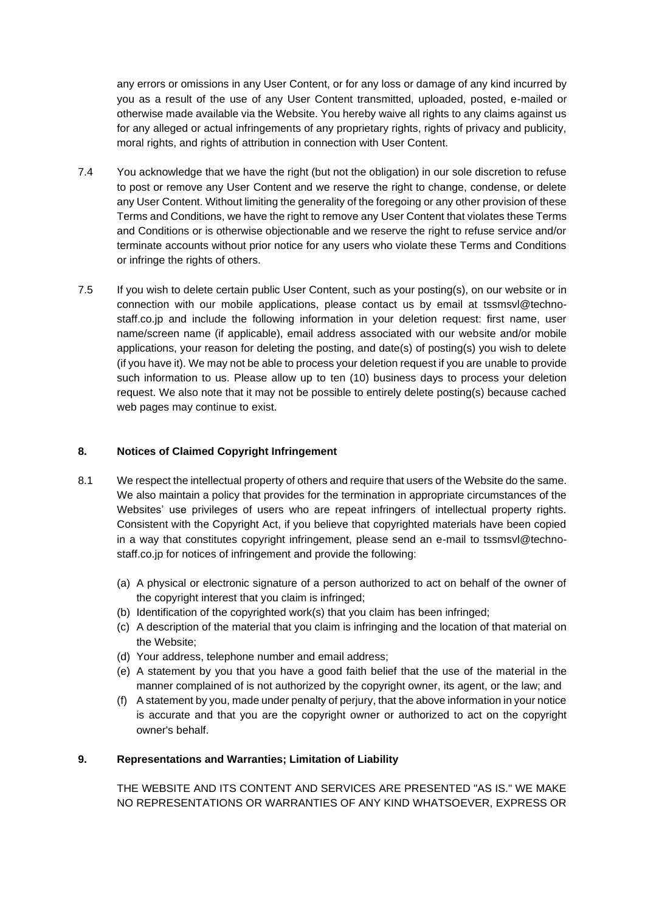any errors or omissions in any User Content, or for any loss or damage of any kind incurred by you as a result of the use of any User Content transmitted, uploaded, posted, e-mailed or otherwise made available via the Website. You hereby waive all rights to any claims against us for any alleged or actual infringements of any proprietary rights, rights of privacy and publicity, moral rights, and rights of attribution in connection with User Content.

- 7.4 You acknowledge that we have the right (but not the obligation) in our sole discretion to refuse to post or remove any User Content and we reserve the right to change, condense, or delete any User Content. Without limiting the generality of the foregoing or any other provision of these Terms and Conditions, we have the right to remove any User Content that violates these Terms and Conditions or is otherwise objectionable and we reserve the right to refuse service and/or terminate accounts without prior notice for any users who violate these Terms and Conditions or infringe the rights of others.
- 7.5 If you wish to delete certain public User Content, such as your posting(s), on our website or in connection with our mobile applications, please contact us by email at tssmsvl@technostaff.co.jp and include the following information in your deletion request: first name, user name/screen name (if applicable), email address associated with our website and/or mobile applications, your reason for deleting the posting, and date(s) of posting(s) you wish to delete (if you have it). We may not be able to process your deletion request if you are unable to provide such information to us. Please allow up to ten (10) business days to process your deletion request. We also note that it may not be possible to entirely delete posting(s) because cached web pages may continue to exist.

# **8. Notices of Claimed Copyright Infringement**

- 8.1 We respect the intellectual property of others and require that users of the Website do the same. We also maintain a policy that provides for the termination in appropriate circumstances of the Websites' use privileges of users who are repeat infringers of intellectual property rights. Consistent with the Copyright Act, if you believe that copyrighted materials have been copied in a way that constitutes copyright infringement, please send an e-mail to tssmsvl@technostaff.co.jp for notices of infringement and provide the following:
	- (a) A physical or electronic signature of a person authorized to act on behalf of the owner of the copyright interest that you claim is infringed;
	- (b) Identification of the copyrighted work(s) that you claim has been infringed;
	- (c) A description of the material that you claim is infringing and the location of that material on the Website;
	- (d) Your address, telephone number and email address;
	- (e) A statement by you that you have a good faith belief that the use of the material in the manner complained of is not authorized by the copyright owner, its agent, or the law; and
	- (f) A statement by you, made under penalty of perjury, that the above information in your notice is accurate and that you are the copyright owner or authorized to act on the copyright owner's behalf.

# **9. Representations and Warranties; Limitation of Liability**

THE WEBSITE AND ITS CONTENT AND SERVICES ARE PRESENTED "AS IS." WE MAKE NO REPRESENTATIONS OR WARRANTIES OF ANY KIND WHATSOEVER, EXPRESS OR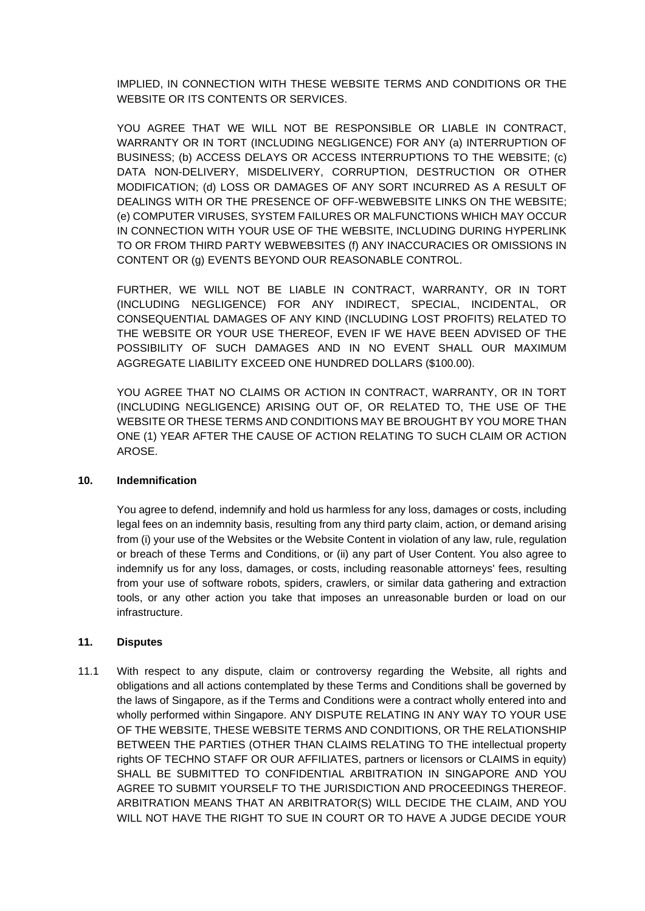IMPLIED, IN CONNECTION WITH THESE WEBSITE TERMS AND CONDITIONS OR THE WEBSITE OR ITS CONTENTS OR SERVICES.

YOU AGREE THAT WE WILL NOT BE RESPONSIBLE OR LIABLE IN CONTRACT, WARRANTY OR IN TORT (INCLUDING NEGLIGENCE) FOR ANY (a) INTERRUPTION OF BUSINESS; (b) ACCESS DELAYS OR ACCESS INTERRUPTIONS TO THE WEBSITE; (c) DATA NON-DELIVERY, MISDELIVERY, CORRUPTION, DESTRUCTION OR OTHER MODIFICATION; (d) LOSS OR DAMAGES OF ANY SORT INCURRED AS A RESULT OF DEALINGS WITH OR THE PRESENCE OF OFF-WEBWEBSITE LINKS ON THE WEBSITE; (e) COMPUTER VIRUSES, SYSTEM FAILURES OR MALFUNCTIONS WHICH MAY OCCUR IN CONNECTION WITH YOUR USE OF THE WEBSITE, INCLUDING DURING HYPERLINK TO OR FROM THIRD PARTY WEBWEBSITES (f) ANY INACCURACIES OR OMISSIONS IN CONTENT OR (g) EVENTS BEYOND OUR REASONABLE CONTROL.

FURTHER, WE WILL NOT BE LIABLE IN CONTRACT, WARRANTY, OR IN TORT (INCLUDING NEGLIGENCE) FOR ANY INDIRECT, SPECIAL, INCIDENTAL, OR CONSEQUENTIAL DAMAGES OF ANY KIND (INCLUDING LOST PROFITS) RELATED TO THE WEBSITE OR YOUR USE THEREOF, EVEN IF WE HAVE BEEN ADVISED OF THE POSSIBILITY OF SUCH DAMAGES AND IN NO EVENT SHALL OUR MAXIMUM AGGREGATE LIABILITY EXCEED ONE HUNDRED DOLLARS (\$100.00).

YOU AGREE THAT NO CLAIMS OR ACTION IN CONTRACT, WARRANTY, OR IN TORT (INCLUDING NEGLIGENCE) ARISING OUT OF, OR RELATED TO, THE USE OF THE WEBSITE OR THESE TERMS AND CONDITIONS MAY BE BROUGHT BY YOU MORE THAN ONE (1) YEAR AFTER THE CAUSE OF ACTION RELATING TO SUCH CLAIM OR ACTION AROSE.

# **10. Indemnification**

You agree to defend, indemnify and hold us harmless for any loss, damages or costs, including legal fees on an indemnity basis, resulting from any third party claim, action, or demand arising from (i) your use of the Websites or the Website Content in violation of any law, rule, regulation or breach of these Terms and Conditions, or (ii) any part of User Content. You also agree to indemnify us for any loss, damages, or costs, including reasonable attorneys' fees, resulting from your use of software robots, spiders, crawlers, or similar data gathering and extraction tools, or any other action you take that imposes an unreasonable burden or load on our infrastructure.

#### **11. Disputes**

11.1 With respect to any dispute, claim or controversy regarding the Website, all rights and obligations and all actions contemplated by these Terms and Conditions shall be governed by the laws of Singapore, as if the Terms and Conditions were a contract wholly entered into and wholly performed within Singapore. ANY DISPUTE RELATING IN ANY WAY TO YOUR USE OF THE WEBSITE, THESE WEBSITE TERMS AND CONDITIONS, OR THE RELATIONSHIP BETWEEN THE PARTIES (OTHER THAN CLAIMS RELATING TO THE intellectual property rights OF TECHNO STAFF OR OUR AFFILIATES, partners or licensors or CLAIMS in equity) SHALL BE SUBMITTED TO CONFIDENTIAL ARBITRATION IN SINGAPORE AND YOU AGREE TO SUBMIT YOURSELF TO THE JURISDICTION AND PROCEEDINGS THEREOF. ARBITRATION MEANS THAT AN ARBITRATOR(S) WILL DECIDE THE CLAIM, AND YOU WILL NOT HAVE THE RIGHT TO SUE IN COURT OR TO HAVE A JUDGE DECIDE YOUR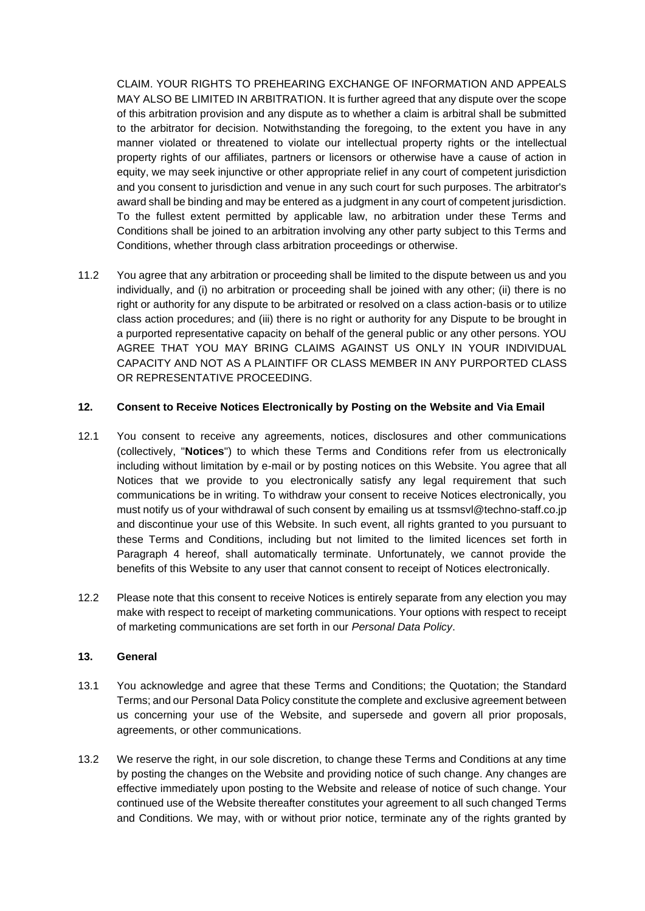CLAIM. YOUR RIGHTS TO PREHEARING EXCHANGE OF INFORMATION AND APPEALS MAY ALSO BE LIMITED IN ARBITRATION. It is further agreed that any dispute over the scope of this arbitration provision and any dispute as to whether a claim is arbitral shall be submitted to the arbitrator for decision. Notwithstanding the foregoing, to the extent you have in any manner violated or threatened to violate our intellectual property rights or the intellectual property rights of our affiliates, partners or licensors or otherwise have a cause of action in equity, we may seek injunctive or other appropriate relief in any court of competent jurisdiction and you consent to jurisdiction and venue in any such court for such purposes. The arbitrator's award shall be binding and may be entered as a judgment in any court of competent jurisdiction. To the fullest extent permitted by applicable law, no arbitration under these Terms and Conditions shall be joined to an arbitration involving any other party subject to this Terms and Conditions, whether through class arbitration proceedings or otherwise.

11.2 You agree that any arbitration or proceeding shall be limited to the dispute between us and you individually, and (i) no arbitration or proceeding shall be joined with any other; (ii) there is no right or authority for any dispute to be arbitrated or resolved on a class action-basis or to utilize class action procedures; and (iii) there is no right or authority for any Dispute to be brought in a purported representative capacity on behalf of the general public or any other persons. YOU AGREE THAT YOU MAY BRING CLAIMS AGAINST US ONLY IN YOUR INDIVIDUAL CAPACITY AND NOT AS A PLAINTIFF OR CLASS MEMBER IN ANY PURPORTED CLASS OR REPRESENTATIVE PROCEEDING.

# **12. Consent to Receive Notices Electronically by Posting on the Website and Via Email**

- 12.1 You consent to receive any agreements, notices, disclosures and other communications (collectively, "**Notices**") to which these Terms and Conditions refer from us electronically including without limitation by e-mail or by posting notices on this Website. You agree that all Notices that we provide to you electronically satisfy any legal requirement that such communications be in writing. To withdraw your consent to receive Notices electronically, you must notify us of your withdrawal of such consent by emailing us at tssmsvl@techno-staff.co.jp and discontinue your use of this Website. In such event, all rights granted to you pursuant to these Terms and Conditions, including but not limited to the limited licences set forth in Paragraph 4 hereof, shall automatically terminate. Unfortunately, we cannot provide the benefits of this Website to any user that cannot consent to receipt of Notices electronically.
- 12.2 Please note that this consent to receive Notices is entirely separate from any election you may make with respect to receipt of marketing communications. Your options with respect to receipt of marketing communications are set forth in our *Personal Data Policy*.

#### **13. General**

- 13.1 You acknowledge and agree that these Terms and Conditions; the Quotation; the Standard Terms; and our Personal Data Policy constitute the complete and exclusive agreement between us concerning your use of the Website, and supersede and govern all prior proposals, agreements, or other communications.
- 13.2 We reserve the right, in our sole discretion, to change these Terms and Conditions at any time by posting the changes on the Website and providing notice of such change. Any changes are effective immediately upon posting to the Website and release of notice of such change. Your continued use of the Website thereafter constitutes your agreement to all such changed Terms and Conditions. We may, with or without prior notice, terminate any of the rights granted by